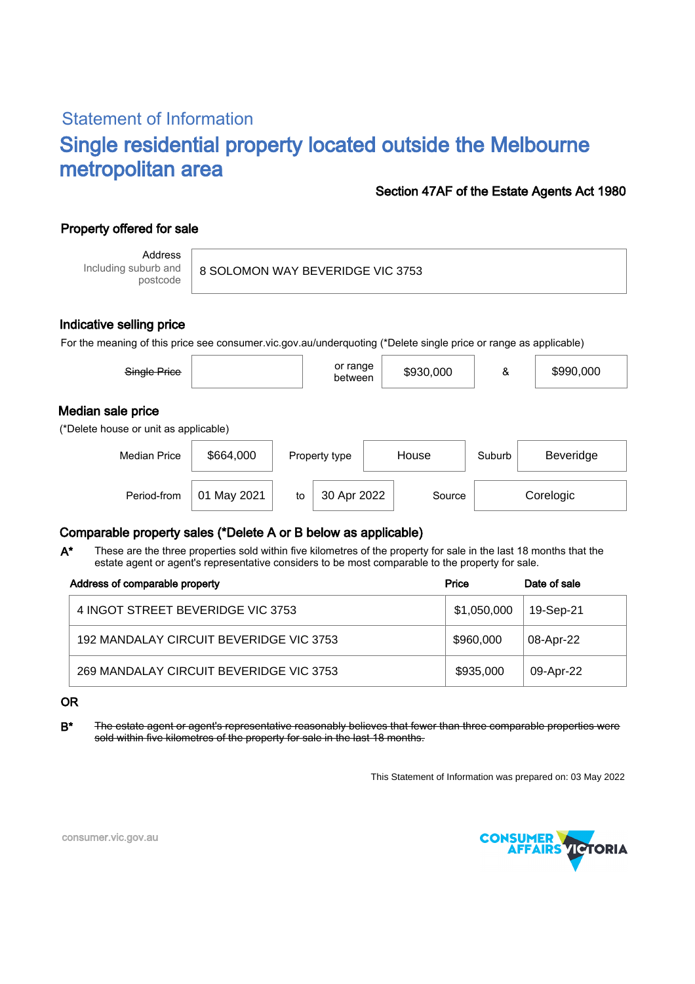# Statement of Information Single residential property located outside the Melbourne metropolitan area

#### Section 47AF of the Estate Agents Act 1980

## Property offered for sale

Address Including suburb and postcode

8 SOLOMON WAY BEVERIDGE VIC 3753

#### Indicative selling price

For the meaning of this price see consumer.vic.gov.au/underquoting (\*Delete single price or range as applicable)

| Single Price                                               |           |    | or range<br>between |       | \$930,000 | &      | \$990,000 |
|------------------------------------------------------------|-----------|----|---------------------|-------|-----------|--------|-----------|
| Median sale price<br>(*Delete house or unit as applicable) |           |    |                     |       |           |        |           |
| <b>Median Price</b>                                        | \$664,000 |    | Property type       | House |           | Suburb | Beveridge |
| Period-from                                                | May 2021  | to | 30 Apr 2022         |       | Source    |        | Corelogic |

### Comparable property sales (\*Delete A or B below as applicable)

These are the three properties sold within five kilometres of the property for sale in the last 18 months that the estate agent or agent's representative considers to be most comparable to the property for sale. A\*

| Address of comparable property          | Price       | Date of sale |
|-----------------------------------------|-------------|--------------|
| 4 INGOT STREET BEVERIDGE VIC 3753       | \$1,050,000 | 19-Sep-21    |
| 192 MANDALAY CIRCUIT BEVERIDGE VIC 3753 | \$960,000   | 08-Apr-22    |
| 269 MANDALAY CIRCUIT BEVERIDGE VIC 3753 | \$935,000   | 09-Apr-22    |

#### OR

B<sup>\*</sup> The estate agent or agent's representative reasonably believes that fewer than three comparable properties were sold within five kilometres of the property for sale in the last 18 months.

This Statement of Information was prepared on: 03 May 2022



consumer.vic.gov.au